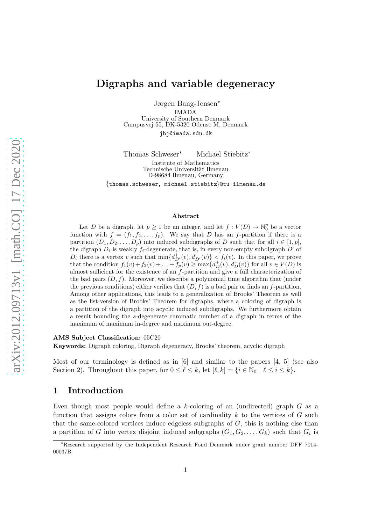# Digraphs and variable degeneracy

Jørgen Bang-Jensen<sup>∗</sup> IMADA University of Southern Denmark Campusvej 55, DK-5320 Odense M, Denmark [jbj@imada.sdu.dk](mailto:jbj@imada.sdu.dk)

Thomas Schweser<sup>∗</sup> Michael Stiebitz<sup>∗</sup>

Institute of Mathematics Technische Universität Ilmenau D-98684 Ilmenau, Germany

{[thomas.schweser,](mailto:thomas.schweser@tu-ilmenau.de) [michael.stiebitz](mailto:michael.stiebitz@tu-ilmenau.de)}@tu-ilmenau.de

#### Abstract

Let D be a digraph, let  $p \geq 1$  be an integer, and let  $f: V(D) \to \mathbb{N}_0^p$  be a vector function with  $f = (f_1, f_2, \ldots, f_p)$ . We say that D has an f-partition if there is a partition  $(D_1, D_2, \ldots, D_n)$  into induced subdigraphs of D such that for all  $i \in [1, p]$ , the digraph  $D_i$  is weakly  $f_i$ -degenerate, that is, in every non-empty subdigraph  $D'$  of  $D_i$  there is a vertex v such that  $\min\{d_{D'}^+(v), d_{D'}^-(v)\} < f_i(v)$ . In this paper, we prove that the condition  $f_1(v) + f_2(v) + \ldots + f_p(v) \ge \max\{d_D^+(v), d_D^-(v)\}\$  for all  $v \in V(D)$  is almost sufficient for the existence of an f-partition and give a full characterization of the bad pairs  $(D, f)$ . Moreover, we describe a polynomial time algorithm that (under the previous conditions) either verifies that  $(D, f)$  is a bad pair or finds an f-partition. Among other applications, this leads to a generalization of Brooks' Theorem as well as the list-version of Brooks' Theorem for digraphs, where a coloring of digraph is a partition of the digraph into acyclic induced subdigraphs. We furthermore obtain a result bounding the s-degenerate chromatic number of a digraph in terms of the maximum of maximum in-degree and maximum out-degree.

#### AMS Subject Classification: 05C20

Keywords: Digraph coloring, Digraph degeneracy, Brooks' theorem, acyclic digraph

Most of our terminology is defined as in [\[6\]](#page-15-0) and similar to the papers [\[4,](#page-15-1) [5\]](#page-15-2) (see also Section [2\)](#page-4-0). Throughout this paper, for  $0 \leq \ell \leq k$ , let  $[\ell, k] = \{i \in \mathbb{N}_0 \mid \ell \leq i \leq k\}.$ 

## 1 Introduction

Even though most people would define a k-coloring of an (undirected) graph  $G$  as a function that assigns colors from a color set of cardinality  $k$  to the vertices of  $G$  such that the same-colored vertices induce edgeless subgraphs of  $G$ , this is nothing else than a partition of G into vertex disjoint induced subgraphs  $(G_1, G_2, \ldots, G_k)$  such that  $G_i$  is

<sup>∗</sup>Research supported by the Independent Research Fond Denmark under grant number DFF 7014- 00037B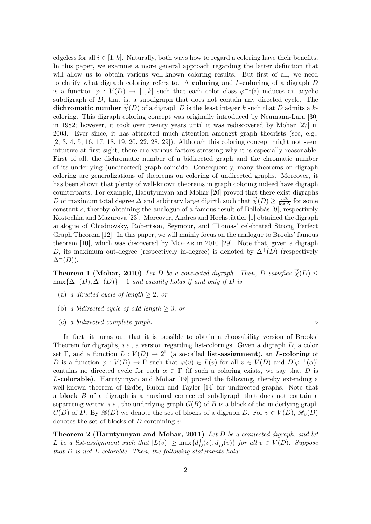edgeless for all  $i \in [1, k]$ . Naturally, both ways how to regard a coloring have their benefits. In this paper, we examine a more general approach regarding the latter definition that will allow us to obtain various well-known coloring results. But first of all, we need to clarify what digraph coloring refers to. A **coloring** and  $k$ -coloring of a digraph  $D$ is a function  $\varphi: V(D) \to [1, k]$  such that each color class  $\varphi^{-1}(i)$  induces an acyclic subdigraph of D, that is, a subdigraph that does not contain any directed cycle. The dichromatic number  $\overrightarrow{\chi}(D)$  of a digraph D is the least integer k such that D admits a kcoloring. This digraph coloring concept was originally introduced by Neumann-Lara [\[30\]](#page-17-0) in 1982; however, it took over twenty years until it was rediscovered by Mohar [\[27\]](#page-16-0) in 2003. Ever since, it has attracted much attention amongst graph theorists (see, e.g., [\[2,](#page-15-3) [3,](#page-15-4) [4,](#page-15-1) [5,](#page-15-2) [16,](#page-16-1) [17,](#page-16-2) [18,](#page-16-3) [19,](#page-16-4) [20,](#page-16-5) [22,](#page-16-6) [28,](#page-16-7) [29\]](#page-17-1)). Although this coloring concept might not seem intuitive at first sight, there are various factors stressing why it is especially reasonable. First of all, the dichromatic number of a bidirected graph and the chromatic number of its underlying (undirected) graph coincide. Consequently, many theorems on digraph coloring are generalizations of theorems on coloring of undirected graphs. Moreover, it has been shown that plenty of well-known theorems in graph coloring indeed have digraph counterparts. For example, Harutyunyan and Mohar [\[20\]](#page-16-5) proved that there exist digraphs D of maximum total degree  $\Delta$  and arbitrary large digirth such that  $\vec{\chi}(D) \geq \frac{c\Delta}{\log \Delta}$  for some constant c, thereby obtaining the analogue of a famous result of Bollobás  $[9]$ , respectively Kostochka and Mazurova [\[23\]](#page-16-9). Moreover, Andres and Hochstättler [\[1\]](#page-15-5) obtained the digraph analogue of Chudnovsky, Robertson, Seymour, and Thomas' celebrated Strong Perfect Graph Theorem [\[12\]](#page-16-10). In this paper, we will mainly focus on the analogue to Brooks' famous theorem [\[10\]](#page-16-11), which was discovered by Mohar in 2010 [\[29\]](#page-17-1). Note that, given a digraph D, its maximum out-degree (respectively in-degree) is denoted by  $\Delta^+(D)$  (respectively  $\Delta^{-}(D)$ ).

**Theorem 1 (Mohar, 2010)** Let D be a connected digraph. Then, D satisfies  $\vec{\chi}(D) \leq$  $\max{\{\Delta^{-}(D), \Delta^{+}(D)\}} + 1$  and equality holds if and only if D is

- (a) a directed cycle of length  $\geq 2$ , or
- (b) a bidirected cycle of odd length  $\geq 3$ , or
- (c) a bidirected complete graph. ⋄

In fact, it turns out that it is possible to obtain a choosability version of Brooks' Theorem for digraphs, *i.e.*, a version regarding list-colorings. Given a digraph  $D$ , a color set Γ, and a function  $L: V(D) \to 2^{\Gamma}$  (a so-called list-assignment), an L-coloring of D is a function  $\varphi: V(D) \to \Gamma$  such that  $\varphi(v) \in L(v)$  for all  $v \in V(D)$  and  $D[\varphi^{-1}(\alpha)]$ contains no directed cycle for each  $\alpha \in \Gamma$  (if such a coloring exists, we say that D is L-colorable). Harutyunyan and Mohar [\[19\]](#page-16-4) proved the following, thereby extending a well-known theorem of Erdős, Rubin and Taylor  $[14]$  for undirected graphs. Note that a block B of a digraph is a maximal connected subdigraph that does not contain a separating vertex, *i.e.*, the underlying graph  $G(B)$  of B is a block of the underlying graph  $G(D)$  of D. By  $\mathscr{B}(D)$  we denote the set of blocks of a digraph D. For  $v \in V(D)$ ,  $\mathscr{B}_v(D)$ denotes the set of blocks of  $D$  containing  $v$ .

<span id="page-1-0"></span>**Theorem 2 (Harutyunyan and Mohar, 2011)** Let D be a connected digraph, and let L be a list-assignment such that  $|L(v)| \ge \max\{d_D^+(v), d_D^-(v)\}\;$  for all  $v \in V(D)$ . Suppose that D is not L-colorable. Then, the following statements hold: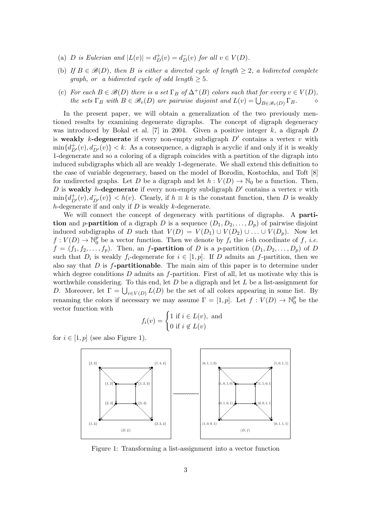- (a) D is Eulerian and  $|L(v)| = d_D^+(v) = d_D^-(v)$  for all  $v \in V(D)$ .
- (b) If  $B \in \mathcal{B}(D)$ , then B is either a directed cycle of length  $\geq 2$ , a bidirected complete *graph, or a bidirected cycle of odd length*  $> 5$ .
- (c) For each  $B \in \mathscr{B}(D)$  there is a set  $\Gamma_B$  of  $\Delta^+(B)$  colors such that for every  $v \in V(D)$ , the sets  $\Gamma_B$  with  $B \in \mathscr{B}_v(D)$  are pairwise disjoint and  $L(v) = \bigcup_{B \in \mathscr{B}_v(D)} \Gamma_B$ .  $\diamond$

In the present paper, we will obtain a generalization of the two previously mentioned results by examining degenerate digraphs. The concept of digraph degeneracy was introduced by Bokal et al. [\[7\]](#page-15-6) in 2004. Given a positive integer  $k$ , a digraph  $D$ is weakly k-degenerate if every non-empty subdigraph  $D'$  contains a vertex v with  $\min\{d^+_{D'}(v), d^-_{D'}(v)\} < k$ . As a consequence, a digraph is acyclic if and only if it is weakly 1-degenerate and so a coloring of a digraph coincides with a partition of the digraph into induced subdigraphs which all are weakly 1-degenerate. We shall extend this definition to the case of variable degeneracy, based on the model of Borodin, Kostochka, and Toft [\[8\]](#page-15-7) for undirected graphs. Let D be a digraph and let  $h: V(D) \to \mathbb{N}_0$  be a function. Then, D is weakly h-degenerate if every non-empty subdigraph  $D'$  contains a vertex v with  $\min\{d_{D'}^+(v), d_{D'}^-(v)\} < h(v)$ . Clearly, if  $h \equiv k$  is the constant function, then D is weakly h-degenerate if and only if  $D$  is weakly k-degenerate.

We will connect the concept of degeneracy with partitions of digraphs. A **parti**tion and p-partition of a digraph D is a sequence  $(D_1, D_2, \ldots, D_p)$  of pairwise disjoint induced subdigraphs of D such that  $V(D) = V(D_1) \cup V(D_2) \cup ... \cup V(D_p)$ . Now let  $f: V(D) \to \mathbb{N}_0^p$  $_0^p$  be a vector function. Then we denote by  $f_i$  the *i*-th coordinate of f, *i.e.*  $f = (f_1, f_2, \ldots, f_p)$ . Then, an f-**partition** of D is a p-partition  $(D_1, D_2, \ldots, D_p)$  of D such that  $D_i$  is weakly  $f_i$ -degenerate for  $i \in [1, p]$ . If D admits an f-partition, then we also say that  $D$  is  $f$ -partitionable. The main aim of this paper is to determine under which degree conditions  $D$  admits an f-partition. First of all, let us motivate why this is worthwhile considering. To this end, let  $D$  be a digraph and let  $L$  be a list-assignment for D. Moreover, let  $\Gamma = \bigcup_{v \in V(D)} L(D)$  be the set of all colors appearing in some list. By renaming the colors if necessary we may assume  $\Gamma = [1, p]$ . Let  $f: V(D) \to \mathbb{N}_0^p$  $\frac{p}{0}$  be the vector function with

$$
f_i(v) = \begin{cases} 1 \text{ if } i \in L(v), \text{ and} \\ 0 \text{ if } i \notin L(v) \end{cases}
$$

<span id="page-2-0"></span>for  $i \in [1, p]$  (see also Figure [1\)](#page-2-0).



Figure 1: Transforming a list-assignment into a vector function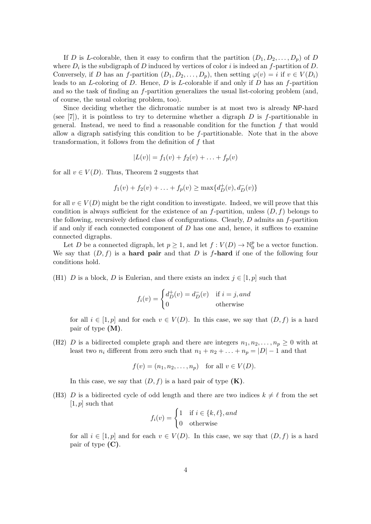If D is L-colorable, then it easy to confirm that the partition  $(D_1, D_2, \ldots, D_p)$  of D where  $D_i$  is the subdigraph of D induced by vertices of color i is indeed an f-partition of D. Conversely, if D has an f-partition  $(D_1, D_2, \ldots, D_p)$ , then setting  $\varphi(v) = i$  if  $v \in V(D_i)$ leads to an  $L$ -coloring of  $D$ . Hence,  $D$  is  $L$ -colorable if and only if  $D$  has an f-partition and so the task of finding an f-partition generalizes the usual list-coloring problem (and, of course, the usual coloring problem, too).

Since deciding whether the dichromatic number is at most two is already NP-hard (see  $[7]$ ), it is pointless to try to determine whether a digraph D is f-partitionable in general. Instead, we need to find a reasonable condition for the function  $f$  that would allow a digraph satisfying this condition to be  $f$ -partitionable. Note that in the above transformation, it follows from the definition of  $f$  that

$$
|L(v)| = f_1(v) + f_2(v) + \ldots + f_p(v)
$$

for all  $v \in V(D)$ . Thus, Theorem [2](#page-1-0) suggests that

$$
f_1(v) + f_2(v) + \ldots + f_p(v) \ge \max\{d^+_D(v), d^-_D(v)\}
$$

for all  $v \in V(D)$  might be the right condition to investigate. Indeed, we will prove that this condition is always sufficient for the existence of an  $f$ -partition, unless  $(D, f)$  belongs to the following, recursively defined class of configurations. Clearly,  $D$  admits an  $f$ -partition if and only if each connected component of  $D$  has one and, hence, it suffices to examine connected digraphs.

Let D be a connected digraph, let  $p \geq 1$ , and let  $f: V(D) \to \mathbb{N}_0^p$  $_0^p$  be a vector function. We say that  $(D, f)$  is a **hard pair** and that D is f-hard if one of the following four conditions hold.

(H1) D is a block, D is Eulerian, and there exists an index  $j \in [1, p]$  such that

$$
f_i(v) = \begin{cases} d_D^+(v) = d_D^-(v) & \text{if } i = j, and \\ 0 & \text{otherwise} \end{cases}
$$

for all  $i \in [1, p]$  and for each  $v \in V(D)$ . In this case, we say that  $(D, f)$  is a hard pair of type (M).

(H2) D is a bidirected complete graph and there are integers  $n_1, n_2, \ldots, n_p \geq 0$  with at least two  $n_i$  different from zero such that  $n_1 + n_2 + \ldots + n_p = |D| - 1$  and that

$$
f(v) = (n_1, n_2, ..., n_p)
$$
 for all  $v \in V(D)$ .

In this case, we say that  $(D, f)$  is a hard pair of type  $(K)$ .

(H3) D is a bidirected cycle of odd length and there are two indices  $k \neq \ell$  from the set  $[1, p]$  such that

$$
f_i(v) = \begin{cases} 1 & \text{if } i \in \{k, \ell\}, and \\ 0 & \text{otherwise} \end{cases}
$$

for all  $i \in [1, p]$  and for each  $v \in V(D)$ . In this case, we say that  $(D, f)$  is a hard pair of type (C).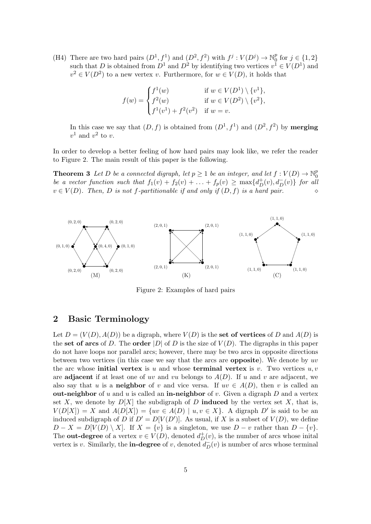(H4) There are two hard pairs  $(D^1, f^1)$  and  $(D^2, f^2)$  with  $f^j: V(D^j) \to \mathbb{N}_0^p$  $_{0}^{p}$  for  $j \in \{1,2\}$ such that D is obtained from  $D^1$  and  $D^2$  by identifying two vertices  $v^1 \in V(D^1)$  and  $v^2 \in V(D^2)$  to a new vertex v. Furthermore, for  $w \in V(D)$ , it holds that

$$
f(w) = \begin{cases} f^{1}(w) & \text{if } w \in V(D^{1}) \setminus \{v^{1}\}, \\ f^{2}(w) & \text{if } w \in V(D^{2}) \setminus \{v^{2}\}, \\ f^{1}(v^{1}) + f^{2}(v^{2}) & \text{if } w = v. \end{cases}
$$

In this case we say that  $(D, f)$  is obtained from  $(D^1, f^1)$  and  $(D^2, f^2)$  by **merging**  $v^1$  and  $v^2$  to v.

<span id="page-4-2"></span>In order to develop a better feeling of how hard pairs may look like, we refer the reader to Figure [2.](#page-4-1) The main result of this paper is the following.

**Theorem 3** Let D be a connected digraph, let  $p \ge 1$  be an integer, and let  $f: V(D) \to \mathbb{N}_0^p$  $\boldsymbol{0}$ be a vector function such that  $f_1(v) + f_2(v) + \ldots + f_p(v) \ge \max\{d^+_D(v), d^-_D(v)\}\;$  for all  $v \in V(D)$ . Then, D is not f-partitionable if and only if  $(D, f)$  is a hard pair.

<span id="page-4-1"></span>

Figure 2: Examples of hard pairs

## <span id="page-4-0"></span>2 Basic Terminology

Let  $D = (V(D), A(D))$  be a digraph, where  $V(D)$  is the set of vertices of D and  $A(D)$  is the set of arcs of D. The order  $|D|$  of D is the size of  $V(D)$ . The digraphs in this paper do not have loops nor parallel arcs; however, there may be two arcs in opposite directions between two vertices (in this case we say that the arcs are opposite). We denote by uv the arc whose **initial vertex** is u and whose **terminal vertex** is v. Two vertices  $u, v$ are adjacent if at least one of uv and vu belongs to  $A(D)$ . If u and v are adjacent, we also say that u is a **neighbor** of v and vice versa. If  $uv \in A(D)$ , then v is called an out-neighbor of  $u$  and  $u$  is called an in-neighbor of  $v$ . Given a digraph  $D$  and a vertex set X, we denote by  $D[X]$  the subdigraph of D **induced** by the vertex set X, that is,  $V(D[X]) = X$  and  $A(D[X]) = \{uv \in A(D) \mid u, v \in X\}$ . A digraph D' is said to be an induced subdigraph of D if  $D' = D[V(D')]$ . As usual, if X is a subset of  $V(D)$ , we define  $D - X = D[V(D) \setminus X]$ . If  $X = \{v\}$  is a singleton, we use  $D - v$  rather than  $D - \{v\}$ . The **out-degree** of a vertex  $v \in V(D)$ , denoted  $d^+_{D}(v)$ , is the number of arcs whose inital vertex is v. Similarly, the **in-degree** of v, denoted  $d_D^-(v)$  is number of arcs whose terminal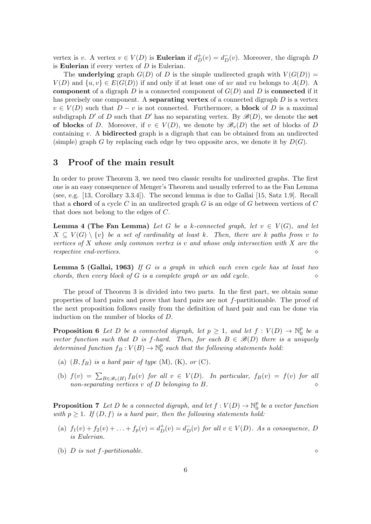vertex is v. A vertex  $v \in V(D)$  is **Eulerian** if  $d^+_D(v) = d^-_D(v)$ . Moreover, the digraph D is **Eulerian** if every vertex of  $D$  is Eulerian.

The **underlying** graph  $G(D)$  of D is the simple undirected graph with  $V(G(D))$  =  $V(D)$  and  $\{u, v\} \in E(G(D))$  if and only if at least one of uv and vu belongs to  $A(D)$ . component of a digraph  $D$  is a connected component of  $G(D)$  and  $D$  is **connected** if it has precisely one component. A **separating vertex** of a connected digraph  $D$  is a vertex  $v \in V(D)$  such that  $D - v$  is not connected. Furthermore, a **block** of D is a maximal subdigraph D' of D such that D' has no separating vertex. By  $\mathscr{B}(D)$ , we denote the set of blocks of D. Moreover, if  $v \in V(D)$ , we denote by  $\mathscr{B}_v(D)$  the set of blocks of D containing v. A **bidirected** graph is a digraph that can be obtained from an undirected (simple) graph G by replacing each edge by two opposite arcs, we denote it by  $D(G)$ .

## 3 Proof of the main result

In order to prove Theorem [3,](#page-4-2) we need two classic results for undirected graphs. The first one is an easy consequence of Menger's Theorem and usually referred to as the Fan Lemma (see, e.g. [\[13,](#page-16-13) Corollary 3.3.4]). The second lemma is due to Gallai [\[15,](#page-16-14) Satz 1.9]. Recall that a **chord** of a cycle C in an undirected graph G is an edge of G between vertices of C that does not belong to the edges of C.

<span id="page-5-1"></span>**Lemma 4 (The Fan Lemma)** Let G be a k-connected graph, let  $v \in V(G)$ , and let  $X \subseteq V(G) \setminus \{v\}$  be a set of cardinality at least k. Then, there are k paths from v to vertices of  $X$  whose only common vertex is  $v$  and whose only intersection with  $X$  are the  $r$ espective end-vertices.  $\Diamond$ 

<span id="page-5-2"></span>**Lemma 5 (Gallai, 1963)** If G is a graph in which each even cycle has at least two chords, then every block of G is a complete graph or an odd cycle.  $\Diamond$ 

The proof of Theorem [3](#page-4-2) is divided into two parts. In the first part, we obtain some properties of hard pairs and prove that hard pairs are not f-partitionable. The proof of the next proposition follows easily from the definition of hard pair and can be done via induction on the number of blocks of D.

<span id="page-5-3"></span>**Proposition 6** Let D be a connected digraph, let  $p \geq 1$ , and let  $f: V(D) \to \mathbb{N}_0^p$  $^p_{0}$  be a vector function such that D is f-hard. Then, for each  $B \in \mathcal{B}(D)$  there is a uniquely determined function  $f_B: V(B) \to \mathbb{N}_0^p$  $_0^p$  such that the following statements hold:

- (a)  $(B, f_B)$  is a hard pair of type  $(M)$ ,  $(K)$ , or  $(C)$ .
- (b)  $f(v) = \sum_{B \in \mathscr{B}_v(H)} f_B(v)$  for all  $v \in V(D)$ . In particular,  $f_B(v) = f(v)$  for all  $non-separating \ vertices \ v \ of \ D \ belonging \ to \ B.$

<span id="page-5-0"></span>**Proposition 7** Let D be a connected digraph, and let  $f: V(D) \to \mathbb{N}_0^p$  $\begin{smallmatrix} p & 0 \ 0 & b e & a \ vector \ function \end{smallmatrix}$ with  $p \geq 1$ . If  $(D, f)$  is a hard pair, then the following statements hold:

- (a)  $f_1(v) + f_2(v) + \ldots + f_p(v) = d_D^+(v) = d_D^-(v)$  for all  $v \in V(D)$ . As a consequence, D is Eulerian.
- (b) D is not f-partitionable.  $\Diamond$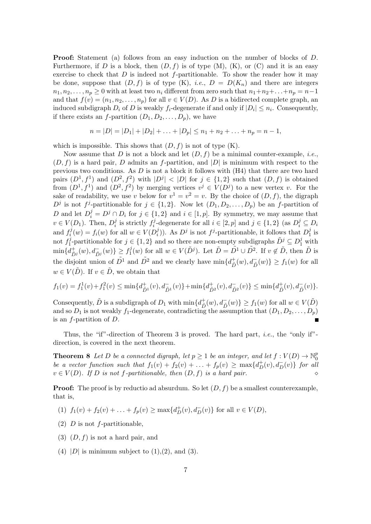Proof: Statement (a) follows from an easy induction on the number of blocks of D. Furthermore, if D is a block, then  $(D, f)$  is of type  $(M)$ ,  $(K)$ , or  $(C)$  and it is an easy exercise to check that  $D$  is indeed not f-partitionable. To show the reader how it may be done, suppose that  $(D, f)$  is of type  $(K)$ , *i.e.*,  $D = D(K_n)$  and there are integers  $n_1, n_2, \ldots, n_p \geq 0$  with at least two  $n_i$  different from zero such that  $n_1+n_2+\ldots+n_p = n-1$ and that  $f(v) = (n_1, n_2, \ldots, n_p)$  for all  $v \in V(D)$ . As D is a bidirected complete graph, an induced subdigraph  $D_i$  of D is weakly  $f_i$ -degenerate if and only if  $|D_i| \leq n_i$ . Consequently, if there exists an f-partition  $(D_1, D_2, \ldots, D_p)$ , we have

$$
n = |D| = |D_1| + |D_2| + \ldots + |D_p| \le n_1 + n_2 + \ldots + n_p = n - 1,
$$

which is impossible. This shows that  $(D, f)$  is not of type  $(K)$ .

Now assume that D is not a block and let  $(D, f)$  be a minimal counter-example, *i.e.*,  $(D, f)$  is a hard pair, D admits an f-partition, and  $|D|$  is minimum with respect to the previous two conditions. As  $D$  is not a block it follows with  $(H4)$  that there are two hard pairs  $(D^1, f^1)$  and  $(D^2, f^2)$  with  $|D^j| < |D|$  for  $j \in \{1, 2\}$  such that  $(D, f)$  is obtained from  $(D^1, f^1)$  and  $(D^2, f^2)$  by merging vertices  $v^j \in V(D^j)$  to a new vertex v. For the sake of readability, we use v below for  $v^1 = v^2 = v$ . By the choice of  $(D, f)$ , the digraph  $D^j$  is not f<sup>j</sup>-partitionable for  $j \in \{1,2\}$ . Now let  $(D_1, D_2, \ldots, D_p)$  be an f-partition of D and let  $D_i^j = D^j \cap D_i$  for  $j \in \{1,2\}$  and  $i \in [1,p]$ . By symmetry, we may assume that  $v \in V(D_1)$ . Then,  $D_i^j$  $i$  is strictly  $f_i^j$ <sup>j</sup>-degenerate for all  $i \in [2, p]$  and  $j \in \{1, 2\}$  (as  $D_i^j \subseteq D_i$ and  $f_i^j$  $f_i^j(w) = f_i(w)$  for all  $w \in V(D_i^j)$  $j$ ). As  $D^j$  is not  $f^j$ -partitionable, it follows that  $D_1^j$  $\frac{J}{1}$  is not  $f_1^j$ <sup>j</sup>-partitionable for  $j \in \{1,2\}$  and so there are non-empty subdigraphs  $\tilde{D}^j \subseteq D_1^j$  with  $\min\{d^+_{\tilde D^j}(w), d^-_{\tilde D^j}(w)\}\geq f_1^j$  $j(w)$  for all  $w \in V(\tilde{D}^j)$ . Let  $\tilde{D} = \tilde{D}^1 \cup \tilde{D}^2$ . If  $v \notin \tilde{D}$ , then  $\tilde{D}$  is the disjoint union of  $\tilde{D}^1$  and  $\tilde{D}^2$  and we clearly have  $\min\{d_{\tilde{D}}^+(w), d_{\tilde{D}}^-(w)\}\geq f_1(w)$  for all  $w \in V(\tilde{D})$ . If  $v \in \tilde{D}$ , we obtain that

$$
f_1(v) = f_1^1(v) + f_1^2(v) \le \min\{d_{\tilde{D}^1}^+(v), d_{\tilde{D}^1}^-(v)\} + \min\{d_{\tilde{D}^2}^+(v), d_{\tilde{D}^2}^-(v)\} \le \min\{d_{\tilde{D}}^+(v), d_{\tilde{D}}^-(v)\}.
$$

Consequently,  $\tilde{D}$  is a subdigraph of  $D_1$  with  $\min\{d^+_{\tilde{D}}(w), d^-_{\tilde{D}}(w)\}\geq f_1(w)$  for all  $w \in V(\tilde{D})$ and so  $D_1$  is not weakly  $f_1$ -degenerate, contradicting the assumption that  $(D_1, D_2, \ldots, D_p)$ is an f-partition of D.

<span id="page-6-0"></span>Thus, the "if"-direction of Theorem [3](#page-4-2) is proved. The hard part, i.e., the "only if" direction, is covered in the next theorem.

**Theorem 8** Let D be a connected digraph, let  $p \ge 1$  be an integer, and let  $f: V(D) \to \mathbb{N}_0^p$  $\boldsymbol{0}$ be a vector function such that  $f_1(v) + f_2(v) + \ldots + f_p(v) \ge \max\{d^+_D(v), d^-_D(v)\}\;$  for all  $v \in V(D)$ . If D is not f-partitionable, then  $(D, f)$  is a hard pair.

**Proof:** The proof is by reductio ad absurdum. So let  $(D, f)$  be a smallest counterexample, that is,

- (1)  $f_1(v) + f_2(v) + \ldots + f_p(v) \ge \max\{d_D^+(v), d_D^-(v)\}\$ for all  $v \in V(D)$ ,
- (2)  $D$  is not f-partitionable,
- $(3)$   $(D, f)$  is not a hard pair, and
- (4) |D| is minimum subject to  $(1),(2)$ , and  $(3)$ .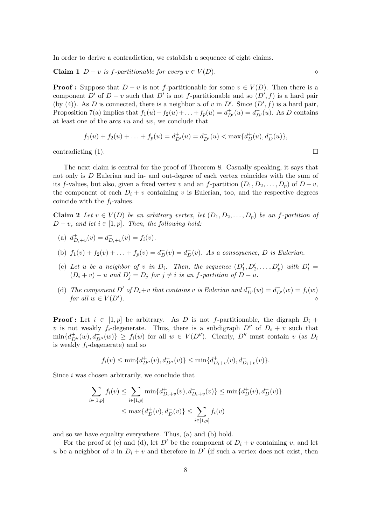In order to derive a contradiction, we establish a sequence of eight claims.

Claim 1 D − v is f-partitionable for every v ∈ V (D). ⋄

**Proof :** Suppose that  $D - v$  is not f-partitionable for some  $v \in V(D)$ . Then there is a component D' of  $D - v$  such that D' is not f-partitionable and so  $(D', f)$  is a hard pair (by (4)). As D is connected, there is a neighbor u of v in  $D'$ . Since  $(D', f)$  is a hard pair, Proposition [7\(](#page-5-0)a) implies that  $f_1(u) + f_2(u) + \ldots + f_p(u) = d_{D'}^+(u) = d_{D'}^-(u)$ . As D contains at least one of the arcs  $vu$  and  $uv$ , we conclude that

<span id="page-7-1"></span><span id="page-7-0"></span>
$$
f_1(u) + f_2(u) + \ldots + f_p(u) = d_{D'}^+(u) = d_{D'}^-(u) < \max\{d_D^+(u), d_D^-(u)\},
$$

contradicting (1).  $\Box$ 

The next claim is central for the proof of Theorem [8.](#page-6-0) Casually speaking, it says that not only is D Eulerian and in- and out-degree of each vertex coincides with the sum of its f-values, but also, given a fixed vertex v and an f-partition  $(D_1, D_2, \ldots, D_p)$  of  $D - v$ , the component of each  $D_i + v$  containing v is Eulerian, too, and the respective degrees coincide with the  $f_i$ -values.

**Claim 2** Let  $v \in V(D)$  be an arbitrary vertex, let  $(D_1, D_2, \ldots, D_p)$  be an f-partition of  $D - v$ , and let  $i \in [1, p]$ . Then, the following hold:

- (a)  $d_{D_i+v}^+(v) = d_{D_i+v}^-(v) = f_i(v)$ .
- (b)  $f_1(v) + f_2(v) + ... + f_p(v) = d_D^+(v) = d_D^-(v)$ . As a consequence, D is Eulerian.
- (c) Let u be a neighbor of v in  $D_i$ . Then, the sequence  $(D'_1, D'_2, \ldots, D'_p)$  with  $D'_i =$  $(D_i + v) - u$  and  $D'_j = D_j$  for  $j \neq i$  is an f-partition of  $D - u$ .
- (d) The component D' of  $D_i+v$  that contains v is Eulerian and  $d^+_{D'}(w) = d^-_{D'}(w) = f_i(w)$ for all  $w \in V(D')$ . ).  $\Diamond$

**Proof :** Let  $i \in [1, p]$  be arbitrary. As D is not f-partitionable, the digraph  $D_i$  + v is not weakly  $f_i$ -degenerate. Thus, there is a subdigraph  $D''$  of  $D_i + v$  such that  $\min\{d_{D''}^+(w), d_{D''}^-(w)\}\geq f_i(w)$  for all  $w \in V(D'')$ . Clearly,  $D''$  must contain v (as  $D_i$ is weakly  $f_i$ -degenerate) and so

$$
f_i(v) \leq \min\{d_{D''}^+(v), d_{D''}^-(v)\} \leq \min\{d_{D_i+v}^+(v), d_{D_i+v}^-(v)\}.
$$

Since i was chosen arbitrarily, we conclude that

$$
\sum_{i \in [1,p]} f_i(v) \le \sum_{i \in [1,p]} \min\{d_{D_i+v}^+(v), d_{D_i+v}^-(v)\} \le \min\{d_D^+(v), d_D^-(v)\} \le \max\{d_D^+(v), d_D^-(v)\} \le \sum_{i \in [1,p]} f_i(v)
$$

and so we have equality everywhere. Thus, (a) and (b) hold.

For the proof of (c) and (d), let D' be the component of  $D_i + v$  containing v, and let u be a neighbor of v in  $D_i + v$  and therefore in  $D'$  (if such a vertex does not exist, then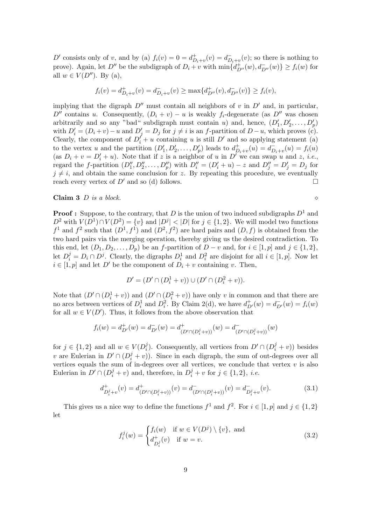D' consists only of v, and by (a)  $f_i(v) = 0 = d_{D_i+v}^+(v) = d_{D_i+v}^-(v)$ ; so there is nothing to prove). Again, let  $D''$  be the subdigraph of  $D_i + v$  with  $\min\{d_{D''}^+(w), d_{D''}^-(w)\} \ge f_i(w)$  for all  $w \in V(D'')$ . By (a),

$$
f_i(v) = d_{D_i+v}^+(v) = d_{D_i+v}^-(v) \ge \max\{d_{D''}^+(v), d_{D''}^-(v)\} \ge f_i(v),
$$

implying that the digraph  $D''$  must contain all neighbors of v in  $D'$  and, in particular, D'' contains u. Consequently,  $(D_i + v) - u$  is weakly  $f_i$ -degenerate (as D'' was chosen arbitrarily and so any "bad" subdigraph must contain u) and, hence,  $(D'_1, D'_2, \ldots, D'_p)$ with  $D'_i = (D_i + v) - u$  and  $D'_j = D_j$  for  $j \neq i$  is an f-partition of  $D - u$ , which proves (c). Clearly, the component of  $D_i^{\prime} + u$  containing u is still  $D'$  and so applying statement (a) to the vertex u and the partition  $(D'_1, D'_2, \ldots, D'_p)$  leads to  $d^+_{D_i+v}(u) = d^-_{D_i+v}(u) = f_i(u)$ (as  $D_i + v = D'_i + u$ ). Note that if z is a neighbor of u in D' we can swap u and z, i.e., regard the f-partition  $(D''_1, D''_2, \ldots, D''_p)$  with  $D''_i = (D'_i + u) - z$  and  $D''_j = D'_j = D_j$  for  $j \neq i$ , and obtain the same conclusion for z. By repeating this procedure, we eventually reach every vertex of  $D'$  and so (d) follows.

### <span id="page-8-2"></span>**Claim 3** D is a block.  $\diamond$

<span id="page-8-0"></span>

**Proof :** Suppose, to the contrary, that D is the union of two induced subdigraphs  $D^1$  and  $D^2$  with  $V(D^1) \cap V(D^2) = \{v\}$  and  $|D^j| < |D|$  for  $j \in \{1, 2\}$ . We will model two functions  $f^1$  and  $f^2$  such that  $(D^1, f^1)$  and  $(D^2, f^2)$  are hard pairs and  $(D, f)$  is obtained from the two hard pairs via the merging operation, thereby giving us the desired contradiction. To this end, let  $(D_1, D_2, \ldots, D_p)$  be an f-partition of  $D - v$  and, for  $i \in [1, p]$  and  $j \in \{1, 2\}$ , let  $D_i^j = D_i \cap D^j$ . Clearly, the digraphs  $D_i^1$  and  $D_i^2$  are disjoint for all  $i \in [1, p]$ . Now let  $i \in [1, p]$  and let D' be the component of  $D_i + v$  containing v. Then,

$$
D' = (D' \cap (D_i^1 + v)) \cup (D' \cap (D_i^2 + v)).
$$

Note that  $(D' \cap (D_i^1 + v))$  and  $(D' \cap (D_i^2 + v))$  have only v in common and that there are no arcs between vertices of  $D_i^1$  and  $D_i^2$ . By Claim [2\(](#page-7-0)d), we have  $d_{D'}^+(w) = d_{D'}^-(w) = f_i(w)$ for all  $w \in V(D')$ . Thus, it follows from the above observation that

$$
f_i(w) = d_{D'}^+(w) = d_{D'}^-(w) = d_{(D' \cap (D_i^j + v))}^+(w) = d_{(D' \cap (D_i^j + v))}^-(w)
$$

for  $j \in \{1,2\}$  and all  $w \in V(D_i^j)$ <sup>j</sup><sub>i</sub>). Consequently, all vertices from  $D' \cap (D_i^j + v)$  besides v are Eulerian in  $D' \cap (D_i^j + v)$ . Since in each digraph, the sum of out-degrees over all vertices equals the sum of in-degrees over all vertices, we conclude that vertex  $v$  is also Eulerian in  $D' \cap (D_i^j + v)$  and, therefore, in  $D_i^j + v$  for  $j \in \{1, 2\}$ , *i.e.* 

$$
d^+_{D_i^j+v}(v) = d^+_{(D' \cap (D_i^j+v))}(v) = d^-_{(D' \cap (D_i^j+v))}(v) = d^-_{D_i^j+v}(v). \tag{3.1}
$$

This gives us a nice way to define the functions  $f^1$  and  $f^2$ . For  $i \in [1, p]$  and  $j \in \{1, 2\}$ let

<span id="page-8-1"></span>
$$
f_i^j(w) = \begin{cases} f_i(w) & \text{if } w \in V(D^j) \setminus \{v\}, \text{ and} \\ d_{D_i^j}^+(v) & \text{if } w = v. \end{cases}
$$
 (3.2)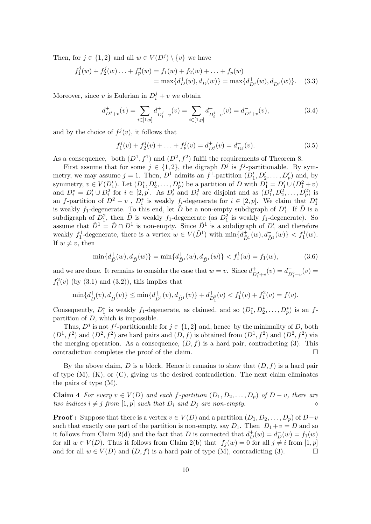Then, for  $j \in \{1,2\}$  and all  $w \in V(D^j) \setminus \{v\}$  we have

$$
f_1^j(w) + f_2^j(w) \dots + f_p^j(w) = f_1(w) + f_2(w) + \dots + f_p(w)
$$
  
=  $\max\{d_D^+(w), d_D^-(w)\} = \max\{d_{D^j}^+(w), d_{D^j}^-(w)\}.$  (3.3)

Moreover, since v is Eulerian in  $D_i^j + v$  we obtain

$$
d_{D^j+v}^+(v) = \sum_{i \in [1,p]} d_{D_i^j+v}^+(v) = \sum_{i \in [1,p]} d_{D_i^j+v}^-(v) = d_{D^j+v}^-(v), \tag{3.4}
$$

and by the choice of  $f^j(v)$ , it follows that

$$
f_1^j(v) + f_2^j(v) + \ldots + f_p^j(v) = d_{D^j}^+(v) = d_{D^j}^-(v).
$$
 (3.5)

As a consequence, both  $(D^1, f^1)$  and  $(D^2, f^2)$  fulfil the requirements of Theorem [8.](#page-6-0)

First assume that for some  $j \in \{1,2\}$ , the digraph  $D^j$  is  $f^j$ -partitionable. By symmetry, we may assume  $j = 1$ . Then,  $D^1$  admits an  $f^1$ -partition  $(D'_1, D'_2, \ldots, D'_p)$  and, by symmetry,  $v \in V(D'_1)$ . Let  $(D_1^*, D_2^*, \ldots, D_p^*)$  be a partition of D with  $D_1^* = D'_1 \cup (D_1^2 + v)$ and  $D_i^* = D_i' \cup D_i^2$  for  $i \in [2, p]$ . As  $D_i'$  and  $D_i^2$  are disjoint and as  $(D_1^2, D_2^2, \ldots, D_p^2)$  is an f-partition of  $D^2 - v$ ,  $D_i^*$  is weakly  $f_i$ -degenerate for  $i \in [2, p]$ . We claim that  $D_1^*$ is weakly f<sub>1</sub>-degenerate. To this end, let  $\tilde{D}$  be a non-empty subdigraph of  $D_1^*$ . If  $\tilde{D}$  is a subdigraph of  $D_1^2$ , then  $\tilde{D}$  is weakly  $f_1$ -degenerate (as  $D_1^2$  is weakly  $f_1$ -degenerate). So assume that  $\tilde{D}^1 = \tilde{D} \cap D^1$  is non-empty. Since  $\tilde{D}^1$  is a subdigraph of  $D'_1$  and therefore weakly  $f_1^1$ -degenerate, there is a vertex  $w \in V(\tilde{D}^1)$  with  $\min\{d_{\tilde{D}^1}^+(w), d_{\tilde{D}^1}^-(w)\} < f_1^1(w)$ . If  $w \neq v$ , then

$$
\min\{d^+_{\tilde{D}}(w), d^-_{\tilde{D}}(w)\} = \min\{d^+_{\tilde{D}^1}(w), d^-_{\tilde{D}^1}(w)\} < f^1_1(w) = f_1(w),\tag{3.6}
$$

and we are done. It remains to consider the case that  $w = v$ . Since  $d_{D_1^2+v}^+(v) = d_{D_1^2+v}^-(v) =$  $f_1^2(v)$  (by [\(3.1\)](#page-8-0) and [\(3.2\)](#page-8-1)), this implies that

$$
\min\{d_{\tilde{D}}^+(v), d_{\tilde{D}}^-(v)\} \le \min\{d_{\tilde{D}^1}^+(v), d_{\tilde{D}^1}^-(v)\} + d_{D_1^2}^+(v) < f_1^1(v) + f_1^2(v) = f(v).
$$

Consequently,  $D_1^*$  is weakly  $f_1$ -degenerate, as claimed, and so  $(D_1^*, D_2^*, \ldots, D_p^*)$  is an  $f$ partition of  $D$ , which is impossible.

Thus,  $D^j$  is not  $f^j$ -partitionable for  $j \in \{1,2\}$  and, hence by the minimality of D, both  $(D^1, f^2)$  and  $(D^2, f^2)$  are hard pairs and  $(D, f)$  is obtained from  $(D^1, f^2)$  and  $(D^2, f^2)$  via the merging operation. As a consequence,  $(D, f)$  is a hard pair, contradicting (3). This contradiction completes the proof of the claim.

By the above claim, D is a block. Hence it remains to show that  $(D, f)$  is a hard pair of type  $(M)$ ,  $(K)$ , or  $(C)$ , giving us the desired contradiction. The next claim eliminates the pairs of type (M).

<span id="page-9-0"></span>**Claim 4** For every  $v \in V(D)$  and each f-partition  $(D_1, D_2, \ldots, D_p)$  of  $D - v$ , there are two indices  $i \neq j$  from  $[1, p]$  such that  $D_i$  and  $D_j$  are non-empty.  $\diamond$ 

**Proof :** Suppose that there is a vertex  $v \in V(D)$  and a partition  $(D_1, D_2, \ldots, D_p)$  of  $D-v$ such that exactly one part of the partition is non-empty, say  $D_1$ . Then  $D_1+v=D$  and so it follows from Claim [2\(](#page-7-0)d) and the fact that D is connected that  $d^+_D(w) = d^-_D(w) = f_1(w)$ for all  $w \in V(D)$ . Thus it follows from Claim [2\(](#page-7-0)b) that  $f_i(w) = 0$  for all  $j \neq i$  from  $[1, p]$ and for all  $w \in V(D)$  and  $(D, f)$  is a hard pair of type  $(M)$ , contradicting  $(3)$ .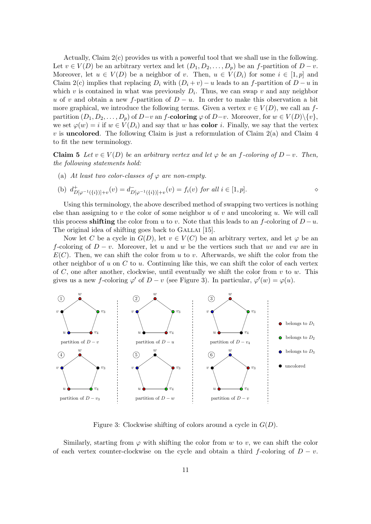Actually, Claim [2\(](#page-7-0)c) provides us with a powerful tool that we shall use in the following. Let  $v \in V(D)$  be an arbitrary vertex and let  $(D_1, D_2, \ldots, D_n)$  be an f-partition of  $D - v$ . Moreover, let  $u \in V(D)$  be a neighbor of v. Then,  $u \in V(D_i)$  for some  $i \in [1,p]$  and Claim [2\(](#page-7-0)c) implies that replacing  $D_i$  with  $(D_i + v) - u$  leads to an f-partition of  $D - u$  in which v is contained in what was previously  $D_i$ . Thus, we can swap v and any neighbor u of v and obtain a new f-partition of  $D - u$ . In order to make this observation a bit more graphical, we introduce the following terms. Given a vertex  $v \in V(D)$ , we call an fpartition  $(D_1, D_2, \ldots, D_p)$  of  $D-v$  an f-coloring  $\varphi$  of  $D-v$ . Moreover, for  $w \in V(D)\setminus\{v\}$ , we set  $\varphi(w) = i$  if  $w \in V(D_i)$  and say that w has **color** i. Finally, we say that the vertex  $v$  is **uncolored**. The following Claim is just a reformulation of Claim  $2(a)$  and Claim  $4$ to fit the new terminology.

<span id="page-10-1"></span>**Claim 5** Let  $v \in V(D)$  be an arbitrary vertex and let  $\varphi$  be an f-coloring of  $D - v$ . Then, the following statements hold:

(a) At least two color-classes of  $\varphi$  are non-empty.

(b) 
$$
d_{D[\varphi^{-1}(\{i\})]+v}^+(v) = d_{D[\varphi^{-1}(\{i\})]+v}^-(v) = f_i(v)
$$
 for all  $i \in [1, p]$ .

Using this terminology, the above described method of swapping two vertices is nothing else than assigning to v the color of some neighbor  $u$  of  $v$  and uncoloring  $u$ . We will call this process shifting the color from u to v. Note that this leads to an f-coloring of  $D - u$ . The original idea of shifting goes back to GALLAI [\[15\]](#page-16-14).

Now let C be a cycle in  $G(D)$ , let  $v \in V(C)$  be an arbitrary vertex, and let  $\varphi$  be an f-coloring of  $D - v$ . Moreover, let u and w be the vertices such that uv and vw are in  $E(C)$ . Then, we can shift the color from u to v. Afterwards, we shift the color from the other neighbor of u on C to u. Continuing like this, we can shift the color of each vertex of C, one after another, clockwise, until eventually we shift the color from  $v$  to  $w$ . This gives us a new f-coloring  $\varphi'$  of  $D - v$  (see Figure [3\)](#page-10-0). In particular,  $\varphi'(w) = \varphi(u)$ .

<span id="page-10-0"></span>

Figure 3: Clockwise shifting of colors around a cycle in  $G(D)$ .

Similarly, starting from  $\varphi$  with shifting the color from w to v, we can shift the color of each vertex counter-clockwise on the cycle and obtain a third f-coloring of  $D - v$ .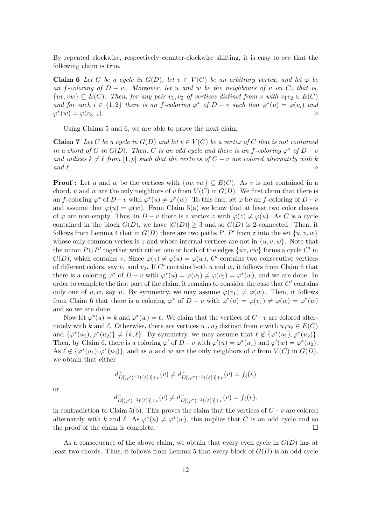<span id="page-11-0"></span>By repeated clockwise, respectively counter-clockwise shifting, it is easy to see that the following claim is true.

**Claim 6** Let C be a cycle in  $G(D)$ , let  $v \in V(C)$  be an arbitrary vertex, and let  $\varphi$  be an f-coloring of  $D - v$ . Moreover, let u and w be the neighbours of v on C, that is,  $\{uv, vw\} \subseteq E(C)$ . Then, for any pair  $v_1, v_2$  of vertices distinct from v with  $v_1v_2 \in E(C)$ and for each  $i \in \{1,2\}$  there is an f-coloring  $\varphi^*$  of  $D - v$  such that  $\varphi^*(u) = \varphi(v_i)$  and  $\varphi^*(w) = \varphi(v_{3-i}).$ 

<span id="page-11-1"></span>Using Claims [5](#page-10-1) and [6,](#page-11-0) we are able to prove the next claim.

**Claim 7** Let C be a cycle in  $G(D)$  and let  $v \in V(C)$  be a vertex of C that is not contained in a chord of C in  $G(D)$ . Then, C is an odd cycle and there is an f-coloring  $\varphi^*$  of  $D - v$ and indices  $k \neq \ell$  from [1, p] such that the vertices of  $C - v$  are colored alternately with k and  $\ell$ .  $\Diamond$ 

**Proof**: Let u and w be the vertices with  $\{uv, vw\} \subseteq E(C)$ . As v is not contained in a chord, u and w are the only neighbors of v from  $V(C)$  in  $G(D)$ . We first claim that there is an f-coloring  $\varphi^*$  of  $D-v$  with  $\varphi^*(u) \neq \varphi^*(w)$ . To this end, let  $\varphi$  be an f-coloring of  $D-v$ and assume that  $\varphi(u) = \varphi(w)$ . From Claim [5\(](#page-10-1)a) we know that at least two color classes of  $\varphi$  are non-empty. Thus, in  $D - v$  there is a vertex z with  $\varphi(z) \neq \varphi(u)$ . As C is a cycle contained in the block  $G(D)$ , we have  $|G(D)| \geq 3$  and so  $G(D)$  is 2-connected. Then, it follows from Lemma [4](#page-5-1) that in  $G(D)$  there are two paths P, P' from z into the set  $\{u, v, w\}$ whose only common vertex is z and whose internal vertices are not in  $\{u, v, w\}$ . Note that the union  $P \cup P'$  together with either one or both of the edges  $\{uv, vw\}$  forms a cycle C' in  $G(D)$ , which contains v. Since  $\varphi(z) \neq \varphi(u) = \varphi(w)$ , C' contains two consecutive vertices of different colors, say  $v_1$  and  $v_2$ . If C' contains both u and w, it follows from Claim [6](#page-11-0) that there is a coloring  $\varphi^*$  of  $D - v$  with  $\varphi^*(u) = \varphi(v_1) \neq \varphi(v_2) = \varphi^*(w)$ , and we are done. In order to complete the first part of the claim, it remains to consider the case that  $C'$  contains only one of u, w, say u. By symmetry, we may assume  $\varphi(v_1) \neq \varphi(w)$ . Then, it follows from Claim [6](#page-11-0) that there is a coloring  $\varphi^*$  of  $D - v$  with  $\varphi^*(u) = \varphi(v_1) \neq \varphi(w) = \varphi^*(w)$ and so we are done.

Now let  $\varphi^*(u) = k$  and  $\varphi^*(w) = \ell$ . We claim that the vertices of  $C - v$  are colored alternately with k and  $\ell$ . Otherwise, there are vertices  $u_1, u_2$  distinct from v with  $u_1u_2 \in E(C)$ and  $\{\varphi^*(u_1), \varphi^*(u_2)\}\neq \{k, \ell\}$ . By symmetry, we may assume that  $\ell \not\in {\varphi^*(u_1), \varphi^*(u_2)}$ . Then, by Claim [6,](#page-11-0) there is a coloring  $\varphi'$  of  $D-v$  with  $\varphi'(u) = \varphi^*(u_1)$  and  $\varphi'(w) = \varphi^*(u_2)$ . As  $\ell \notin {\varphi^*(u_1), \varphi^*(u_2)}$ , and as u and w are the only neighbors of v from  $V(C)$  in  $G(D)$ , we obtain that either

$$
d^+_{D[(\varphi')^{-1}(\{\ell\})]+v}(v) \neq d^+_{D[(\varphi^*)^{-1}(\{\ell\})]+v}(v) = f_{\ell}(v)
$$

or

$$
d^-_{D[(\varphi')^{-1}(\{\ell\})]+v}(v) \neq d^-_{D[(\varphi^*)^{-1}(\{\ell\})]+v}(v) = f_{\ell}(v),
$$

in contradiction to Claim [5\(](#page-10-1)b). This proves the claim that the vertices of  $C - v$  are colored alternately with k and  $\ell$ . As  $\varphi^*(u) \neq \varphi^*(w)$ , this implies that C is an odd cycle and so the proof of the claim is complete.

As a consequence of the above claim, we obtain that every even cycle in  $G(D)$  has at least two chords. Thus, it follows from Lemma [5](#page-5-2) that every block of  $G(D)$  is an odd cycle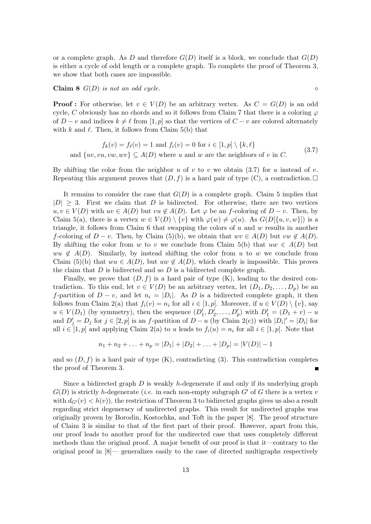or a complete graph. As D and therefore  $G(D)$  itself is a block, we conclude that  $G(D)$ is either a cycle of odd length or a complete graph. To complete the proof of Theorem [3,](#page-4-2) we show that both cases are impossible.

<span id="page-12-1"></span>Claim 8 G(D) is not an odd cycle. ⋄

**Proof**: For otherwise, let  $v \in V(D)$  be an arbitrary vertex. As  $C = G(D)$  is an odd cycle, C obviously has no chords and so it follows from Claim [7](#page-11-1) that there is a coloring  $\varphi$ of  $D - v$  and indices  $k \neq \ell$  from [1, p] so that the vertices of  $C - v$  are colored alternately with  $k$  and  $\ell$ . Then, it follows from Claim [5\(](#page-10-1)b) that

<span id="page-12-0"></span>
$$
f_k(v) = f_\ell(v) = 1 \text{ and } f_i(v) = 0 \text{ for } i \in [1, p] \setminus \{k, \ell\}
$$
  
and  $\{uv, vw, vw, wv\} \subseteq A(D)$  where u and w are the neighbors of v in C. (3.7)

By shifting the color from the neighbor  $u$  of  $v$  to  $v$  we obtain [\(3.7\)](#page-12-0) for  $u$  instead of  $v$ . Repeating this argument proves that  $(D, f)$  is a hard pair of type  $(C)$ , a contradiction.

It remains to consider the case that  $G(D)$  is a complete graph. Claim [5](#page-10-1) implies that  $|D| \geq 3$ . First we claim that D is bidirected. For otherwise, there are two vertices  $u, v \in V(D)$  with  $uv \in A(D)$  but  $vu \notin A(D)$ . Let  $\varphi$  be an f-coloring of  $D - v$ . Then, by Claim [5\(](#page-10-1)a), there is a vertex  $w \in V(D) \setminus \{v\}$  with  $\varphi(w) \neq \varphi(u)$ . As  $G(D[\{u, v, w\}])$  is a triangle, it follows from Claim [6](#page-11-0) that swapping the colors of  $u$  and  $w$  results in another f-coloring of  $D - v$ . Then, by Claim [\(5\)](#page-10-1)(b), we obtain that  $wv \in A(D)$  but  $vw \notin A(D)$ . By shifting the color from w to v we conclude from Claim [5\(](#page-10-1)b) that  $uw \in A(D)$  but  $wu \notin A(D)$ . Similarly, by instead shifting the color from u to w we conclude from Claim [\(5\)](#page-10-1)(b) that  $wu \in A(D)$ , but  $uw \notin A(D)$ , which clearly is impossible. This proves the claim that  $D$  is bidirected and so  $D$  is a bidirected complete graph.

Finally, we prove that  $(D, f)$  is a hard pair of type  $(K)$ , leading to the desired contradiction. To this end, let  $v \in V(D)$  be an arbitrary vertex, let  $(D_1, D_2, \ldots, D_p)$  be an f-partition of  $D - v$ , and let  $n_i = |D_i|$ . As D is a bidirected complete graph, it then follows from Claim [2\(](#page-7-0)a) that  $f_i(v) = n_i$  for all  $i \in [1, p]$ . Moreover, if  $u \in V(D) \setminus \{v\}$ , say  $u \in V(D_1)$  (by symmetry), then the sequence  $(D'_1, D'_2, \ldots, D'_p)$  with  $D'_1 = (D_1 + v) - u$ and  $D'_j = D_j$  for  $j \in [2, p]$  is an f-partition of  $D - u$  (by Claim [2\(](#page-7-0)c)) with  $|D_i|' = |D_i|$  for all  $i \in [1, p]$  and applying Claim [2\(](#page-7-0)a) to u leads to  $f_i(u) = n_i$  for all  $i \in [1, p]$ . Note that

$$
n_1 + n_2 + \ldots + n_p = |D_1| + |D_2| + \ldots + |D_p| = |V(D)| - 1
$$

and so  $(D, f)$  is a hard pair of type  $(K)$ , contradicting  $(3)$ . This contradiction completes the proof of Theorem [3.](#page-4-2)

Since a bidirected graph  $D$  is weakly h-degenerate if and only if its underlying graph  $G(D)$  is strictly h-degenerate (*i.e.* in each non-empty subgraph G' of G there is a vertex v with  $d_{G'}(v) < h(v)$ , the restriction of Theorem [3](#page-4-2) to bidirected graphs gives us also a result regarding strict degeneracy of undirected graphs. This result for undirected graphs was originally proven by Borodin, Kostochka, and Toft in the paper [\[8\]](#page-15-7). The proof structure of Claim [3](#page-8-2) is similar to that of the first part of their proof. However, apart from this, our proof leads to another proof for the undirected case that uses completely different methods than the original proof. A major benefit of our proof is that it—contrary to the original proof in [\[8\]](#page-15-7)— generalizes easily to the case of directed multigraphs respectively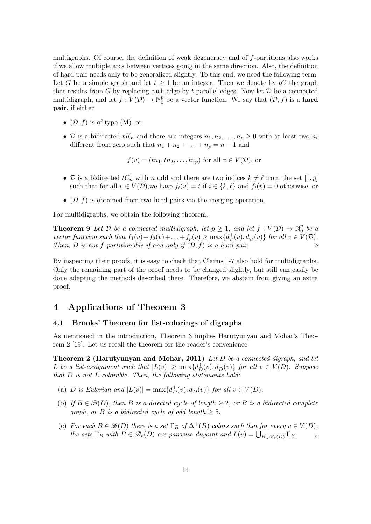multigraphs. Of course, the definition of weak degeneracy and of f-partitions also works if we allow multiple arcs between vertices going in the same direction. Also, the definition of hard pair needs only to be generalized slightly. To this end, we need the following term. Let G be a simple graph and let  $t > 1$  be an integer. Then we denote by  $tG$  the graph that results from  $G$  by replacing each edge by  $t$  parallel edges. Now let  $D$  be a connected multidigraph, and let  $f: V(D) \to \mathbb{N}_0^p$  $\mathcal{O}_0^p$  be a vector function. We say that  $(\mathcal{D}, f)$  is a **hard** pair, if either

- $(\mathcal{D}, f)$  is of type  $(M)$ , or
- D is a bidirected  $tK_n$  and there are integers  $n_1, n_2, \ldots, n_p \geq 0$  with at least two  $n_i$ different from zero such that  $n_1 + n_2 + \ldots + n_p = n - 1$  and

$$
f(v) = (tn_1, tn_2,...,tn_p)
$$
 for all  $v \in V(\mathcal{D})$ , or

- D is a bidirected  $tC_n$  with n odd and there are two indices  $k \neq \ell$  from the set  $[1, p]$ such that for all  $v \in V(\mathcal{D})$ , we have  $f_i(v) = t$  if  $i \in \{k, \ell\}$  and  $f_i(v) = 0$  otherwise, or
- $(D, f)$  is obtained from two hard pairs via the merging operation.

For multidigraphs, we obtain the following theorem.

**Theorem 9** Let  $D$  be a connected multidigraph, let  $p \geq 1$ , and let  $f: V(D) \to \mathbb{N}_0^p$  $\frac{p}{0}$  be a vector function such that  $f_1(v) + f_2(v) + \ldots + f_p(v) \ge \max\{d_{\mathcal{D}}^+\}$  $_{\mathcal{D}}^{+}(v), d_{\mathcal{D}}^{-}(v) \}$  for all  $v \in V(\mathcal{D})$ . Then,  $D$  is not f-partitionable if and only if  $(D, f)$  is a hard pair.

By inspecting their proofs, it is easy to check that Claims 1-7 also hold for multidigraphs. Only the remaining part of the proof needs to be changed slightly, but still can easily be done adapting the methods described there. Therefore, we abstain from giving an extra proof.

## 4 Applications of Theorem [3](#page-4-2)

#### 4.1 Brooks' Theorem for list-colorings of digraphs

As mentioned in the introduction, Theorem [3](#page-4-2) implies Harutyunyan and Mohar's Theorem [2](#page-1-0) [\[19\]](#page-16-4). Let us recall the theorem for the reader's convenience.

Theorem [2](#page-1-0) (Harutyunyan and Mohar, 2011) Let D be a connected digraph, and let L be a list-assignment such that  $|L(v)| \ge \max\{d_D^+(v), d_D^-(v)\}\;$  for all  $v \in V(D)$ . Suppose that  $D$  is not  $L$ -colorable. Then, the following statements hold:

- (a) D is Eulerian and  $|L(v)| = \max\{d^+_D(v), d^-_D(v)\}\$  for all  $v \in V(D)$ .
- (b) If  $B \in \mathcal{B}(D)$ , then B is a directed cycle of length  $\geq 2$ , or B is a bidirected complete qraph, or B is a bidirected cycle of odd length  $> 5$ .
- (c) For each  $B \in \mathcal{B}(D)$  there is a set  $\Gamma_B$  of  $\Delta^+(B)$  colors such that for every  $v \in V(D)$ , the sets  $\Gamma_B$  with  $B \in \mathscr{B}_v(D)$  are pairwise disjoint and  $L(v) = \bigcup_{B \in \mathscr{B}_v(D)} \Gamma_B$ .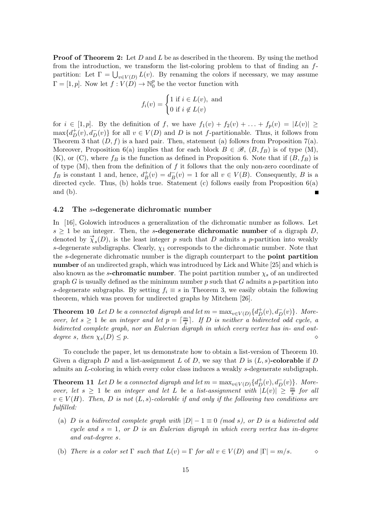**Proof of Theorem [2:](#page-1-0)** Let  $D$  and  $L$  be as described in the theorem. By using the method from the introduction, we transform the list-coloring problem to that of finding an fpartition: Let  $\Gamma = \bigcup_{v \in V(D)} L(v)$ . By renaming the colors if necessary, we may assume  $\Gamma = [1, p]$ . Now let  $f: V(D) \to \mathbb{N}_0^p$  $\frac{p}{0}$  be the vector function with

$$
f_i(v) = \begin{cases} 1 \text{ if } i \in L(v), \text{ and} \\ 0 \text{ if } i \notin L(v) \end{cases}
$$

for  $i \in [1, p]$ . By the definition of f, we have  $f_1(v) + f_2(v) + \ldots + f_p(v) = |L(v)| \ge$  $\max\{d_D^+(v), d_D^-(v)\}\$ for all  $v \in V(D)$  and D is not f-partitionable. Thus, it follows from Theorem [3](#page-4-2) that  $(D, f)$  is a hard pair. Then, statement (a) follows from Proposition [7\(](#page-5-0)a). Moreover, Proposition [6\(](#page-5-3)a) implies that for each block  $B \in \mathcal{B}$ ,  $(B, f_B)$  is of type  $(M)$ ,  $(K)$ , or  $(C)$ , where  $f_B$  is the function as defined in Proposition [6.](#page-5-3) Note that if  $(B, f_B)$  is of type  $(M)$ , then from the definition of f it follows that the only non-zero coordinate of  $f_B$  is constant 1 and, hence,  $d^+_B(v) = d^-_B(v) = 1$  for all  $v \in V(B)$ . Consequently, B is a directed cycle. Thus, (b) holds true. Statement (c) follows easily from Proposition [6\(](#page-5-3)a) and (b).

#### 4.2 The s-degenerate dichromatic number

In [\[16\]](#page-16-1), Golowich introduces a generalization of the dichromatic number as follows. Let  $s \geq 1$  be an integer. Then, the s-degenerate dichromatic number of a digraph D, denoted by  $\vec{\chi}_s(D)$ , is the least integer p such that D admits a p-partition into weakly s-degenerate subdigraphs. Clearly,  $\chi_1$  corresponds to the dichromatic number. Note that the s-degenerate dichromatic number is the digraph counterpart to the **point partition** number of an undirected graph, which was introduced by Lick and White [\[25\]](#page-16-15) and which is also known as the s-chromatic number. The point partition number  $\chi_s$  of an undirected graph  $G$  is usually defined as the minimum number  $p$  such that  $G$  admits a  $p$ -partition into s-degenerate subgraphs. By setting  $f_i \equiv s$  in Theorem [3,](#page-4-2) we easily obtain the following theorem, which was proven for undirected graphs by Mitchem [\[26\]](#page-16-16).

<span id="page-14-0"></span>**Theorem 10** Let D be a connected digraph and let  $m = \max_{v \in V(D)} \{d^+_D(v), d^-_D(v)\}\$ . Moreover, let  $s \geq 1$  be an integer and let  $p = \lceil \frac{m}{s} \rceil$  $\frac{m}{s}$ . If D is neither a bidirected odd cycle, a bidirected complete graph, nor an Eulerian digraph in which every vertex has in- and outdegree s, then  $\chi_s(D) \leq p$ .

To conclude the paper, let us demonstrate how to obtain a list-version of Theorem [10.](#page-14-0) Given a digraph D and a list-assignment L of D, we say that D is  $(L, s)$ -colorable if D admits an L-coloring in which every color class induces a weakly s-degenerate subdigraph.

**Theorem 11** Let D be a connected digraph and let  $m = \max_{v \in V(D)} \{d^+_D(v), d^-_D(v)\}\$ . Moreover, let  $s \geq 1$  be an integer and let L be a list-assignment with  $|L(v)| \geq \frac{m}{s}$  for all  $v \in V(H)$ . Then, D is not  $(L, s)$ -colorable if and only if the following two conditions are fulfilled:

- (a) D is a bidirected complete graph with  $|D|-1 \equiv 0 \pmod{s}$ , or D is a bidirected odd cycle and  $s = 1$ , or D is an Eulerian digraph in which every vertex has in-degree and out-degree s.
- (b) There is a color set  $\Gamma$  such that  $L(v) = \Gamma$  for all  $v \in V(D)$  and  $|\Gamma| = m/s$ .  $\diamond$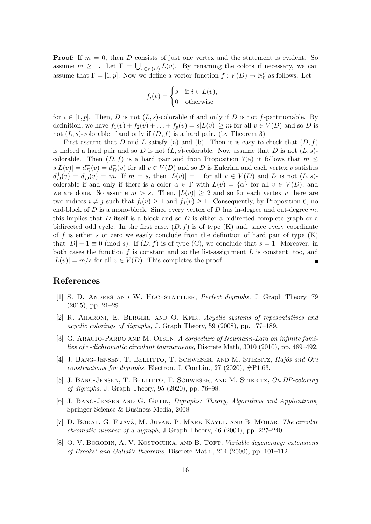**Proof:** If  $m = 0$ , then D consists of just one vertex and the statement is evident. So assume  $m \geq 1$ . Let  $\Gamma = \bigcup_{v \in V(D)} L(v)$ . By renaming the colors if necessary, we can assume that  $\Gamma = [1, p]$ . Now we define a vector function  $f: V(D) \to \mathbb{N}_0^p$  $_0^p$  as follows. Let

$$
f_i(v) = \begin{cases} s & \text{if } i \in L(v), \\ 0 & \text{otherwise} \end{cases}
$$

for  $i \in [1, p]$ . Then, D is not  $(L, s)$ -colorable if and only if D is not f-partitionable. By definition, we have  $f_1(v) + f_2(v) + \ldots + f_p(v) = s|L(v)| \geq m$  for all  $v \in V(D)$  and so D is not  $(L, s)$ -colorable if and only if  $(D, f)$  is a hard pair. (by Theorem [3\)](#page-4-2)

First assume that D and L satisfy (a) and (b). Then it is easy to check that  $(D, f)$ is indeed a hard pair and so D is not  $(L, s)$ -colorable. Now assume that D is not  $(L, s)$ colorable. Then  $(D, f)$  is a hard pair and from Proposition [7\(](#page-5-0)a) it follows that  $m \leq$  $s|L(v)| = d_D^+(v) = d_D^-(v)$  for all  $v \in V(D)$  and so D is Eulerian and each vertex v satisfies  $d_D^+(v) = d_D^-(v) = m$ . If  $m = s$ , then  $|L(v)| = 1$  for all  $v \in V(D)$  and D is not  $(L, s)$ colorable if and only if there is a color  $\alpha \in \Gamma$  with  $L(v) = {\alpha}$  for all  $v \in V(D)$ , and we are done. So assume  $m > s$ . Then,  $|L(v)| \geq 2$  and so for each vertex v there are two indices  $i \neq j$  such that  $f_i(v) \geq 1$  and  $f_i(v) \geq 1$ . Consequently, by Proposition [6,](#page-5-3) no end-block of  $D$  is a mono-block. Since every vertex of  $D$  has in-degree and out-degree  $m$ , this implies that D itself is a block and so D is either a bidirected complete graph or a bidirected odd cycle. In the first case,  $(D, f)$  is of type  $(K)$  and, since every coordinate of f is either s or zero we easily conclude from the definition of hard pair of type  $(K)$ that  $|D| - 1 \equiv 0 \pmod{s}$ . If  $(D, f)$  is of type  $(C)$ , we conclude that  $s = 1$ . Moreover, in both cases the function  $f$  is constant and so the list-assignment  $L$  is constant, too, and  $|L(v)| = m/s$  for all  $v \in V(D)$ . This completes the proof.

## <span id="page-15-5"></span>References

- <span id="page-15-3"></span>[1] S. D. ANDRES AND W. HOCHSTÄTTLER, *Perfect digraphs*, J. Graph Theory, 79 (2015), pp. 21–29.
- <span id="page-15-4"></span>[2] R. Aharoni, E. Berger, and O. Kfir, Acyclic systems of repesentatives and acyclic colorings of digraphs, J. Graph Theory, 59 (2008), pp. 177–189.
- <span id="page-15-1"></span>[3] G. ARAUJO-PARDO AND M. OLSEN, A conjecture of Neumann-Lara on infinite families of r-dichromatic circulant tournaments, Discrete Math, 3010 (2010), pp. 489–492.
- [4] J. BANG-JENSEN, T. BELLITTO, T. SCHWESER, AND M. STIEBITZ, Hajós and Ore constructions for digraphs, Electron. J. Combin., 27 (2020),  $\#P1.63$ .
- <span id="page-15-2"></span><span id="page-15-0"></span>[5] J. Bang-Jensen, T. Bellitto, T. Schweser, and M. Stiebitz, On DP-coloring of digraphs, J. Graph Theory, 95 (2020), pp. 76–98.
- <span id="page-15-6"></span>[6] J. Bang-Jensen and G. Gutin, Digraphs: Theory, Algorithms and Applications, Springer Science & Business Media, 2008.
- [7] D. BOKAL, G. FIJAVŽ, M. JUVAN, P. MARK KAYLL, AND B. MOHAR, The circular chromatic number of a digraph, J Graph Theory, 46 (2004), pp. 227–240.
- <span id="page-15-7"></span>[8] O. V. BORODIN, A. V. KOSTOCHKA, AND B. TOFT, Variable degeneracy: extensions of Brooks' and Gallai's theorems, Discrete Math., 214 (2000), pp. 101–112.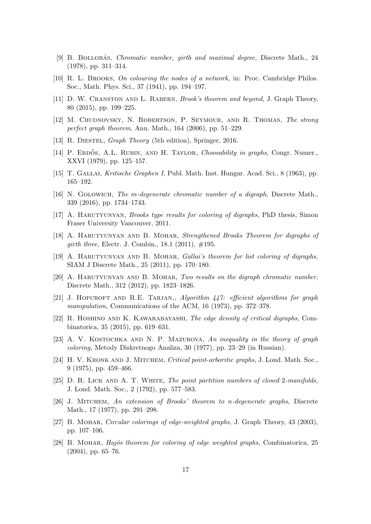- <span id="page-16-11"></span><span id="page-16-8"></span>[9] B. BOLLOBÁS, *Chromatic number, girth and maximal degree, Discrete Math.*, 24 (1978), pp. 311–314.
- <span id="page-16-17"></span>[10] R. L. Brooks, On colouring the nodes of a network, in: Proc. Cambridge Philos. Soc., Math. Phys. Sci., 37 (1941), pp. 194–197.
- <span id="page-16-10"></span>[11] D. W. CRANSTON AND L. RABERN, *Brook's theorem and beyond*, J. Graph Theory, 80 (2015), pp. 199–225.
- <span id="page-16-13"></span>[12] M. Chudnovsky, N. Robertson, P. Seymour, and R. Thomas, The strong perfect graph theorem, Ann. Math., 164 (2006), pp. 51–229.
- <span id="page-16-12"></span>[13] R. DIESTEL, *Graph Theory* (5th edition), Springer, 2016.
- <span id="page-16-14"></span>[14] P. ERDŐS, A.L. RUBIN, AND H. TAYLOR, *Choosability in graphs*, Congr. Numer., XXVI (1979), pp. 125–157.
- <span id="page-16-1"></span>[15] T. GALLAI, Kritische Graphen I, Publ. Math. Inst. Hungar. Acad. Sci., 8 (1963), pp. 165–192.
- <span id="page-16-2"></span>[16] N. Golowich, The m-degenerate chromatic number of a digraph, Discrete Math., 339 (2016), pp. 1734–1743.
- <span id="page-16-3"></span>[17] A. HARUTYUNYAN, *Brooks type results for coloring of digraphs*, PhD thesis, Simon Fraser University Vancouver, 2011.
- <span id="page-16-4"></span>[18] A. Harutyunyan and B. Mohar, Strengthened Brooks Theorem for digraphs of girth three, Electr. J. Combin., 18.1 (2011),  $\#195$ .
- <span id="page-16-5"></span>[19] A. Harutyunyan and B. Mohar, Gallai's theorem for list coloring of digraphs, SIAM J Discrete Math., 25 (2011), pp. 170–180.
- <span id="page-16-18"></span>[20] A. Harutyunyan and B. Mohar, Two results on the digraph chromatic number, Discrete Math., 312 (2012), pp. 1823–1826.
- <span id="page-16-6"></span>[21] J. HOPCROFT AND R.E. TARJAN,, Algorithm  $447$ : efficient algorithms for graph manipulation, Communications of the ACM, 16 (1973), pp. 372–378.
- <span id="page-16-9"></span>[22] R. Hoshino and K. Kawarabayashi, The edge density of critical digraphs, Combinatorica, 35 (2015), pp. 619–631.
- [23] A. V. Kostochka and N. P. Mazurova, An inequality in the theory of graph coloring, Metody Diskretnogo Analiza, 30 (1977), pp. 23–29 (in Russian).
- <span id="page-16-15"></span>[24] H. V. KRONK AND J. MITCHEM, Critical point-arboritic graphs, J. Lond. Math. Soc., 9 (1975), pp. 459–466.
- <span id="page-16-16"></span>[25] D. R. LICK AND A. T. WHITE, The point partition numbers of closed 2-manifolds, J. Lond. Math. Soc., 2 (1792), pp. 577–583.
- <span id="page-16-0"></span>[26] J. MITCHEM, An extension of Brooks' theorem to n-degenerate graphs, Discrete Math., 17 (1977), pp. 291–298.
- <span id="page-16-7"></span>[27] B. Mohar, Circular colorings of edge-weighted graphs, J. Graph Theory, 43 (2003), pp. 107–106.
- [28] B. MOHAR, Hajós theorem for coloring of edge weighted graphs, Combinatorica, 25 (2004), pp. 65–76.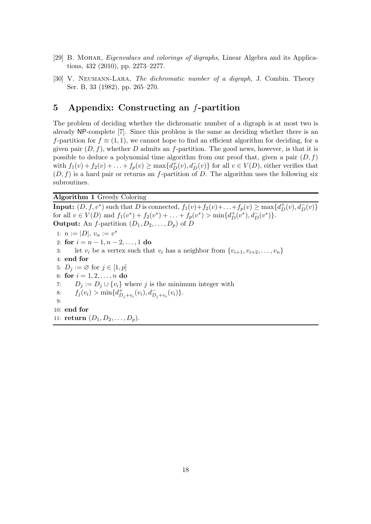- <span id="page-17-1"></span><span id="page-17-0"></span>[29] B. MOHAR, *Eigenvalues and colorings of digraphs*, Linear Algebra and its Applications, 432 (2010), pp. 2273–2277.
- [30] V. Neumann-Lara, The dichromatic number of a digraph, J. Combin. Theory Ser. B, 33 (1982), pp. 265–270.

## 5 Appendix: Constructing an f-partition

The problem of deciding whether the dichromatic number of a digraph is at most two is already NP-complete [\[7\]](#page-15-6). Since this problem is the same as deciding whether there is an f-partition for  $f \equiv (1, 1)$ , we cannot hope to find an efficient algorithm for deciding, for a given pair  $(D, f)$ , whether D admits an f-partition. The good news, however, is that it is possible to deduce a polynomial time algorithm from our proof that, given a pair  $(D, f)$ with  $f_1(v) + f_2(v) + \ldots + f_p(v) \ge \max\{d_D^+(v), d_D^-(v)\}\$  for all  $v \in V(D)$ , either verifies that  $(D, f)$  is a hard pair or returns an f-partition of D. The algorithm uses the following six subroutines.

<span id="page-17-2"></span>Algorithm 1 Greedy Coloring

**Input:**  $(D, f, v^*)$  such that D is connected,  $f_1(v) + f_2(v) + \ldots + f_p(v) \ge \max\{d_D^+(v), d_D^-(v)\}\$ for all  $v \in V(D)$  and  $f_1(v^*) + f_2(v^*) + \ldots + f_p(v^*) > \min\{d_D^+(v^*), d_D^-(v^*)\}.$ **Output:** An *f*-partition  $(D_1, D_2, \ldots, D_p)$  of *D* 1:  $n := |D|, v_n := v^*$ 2: for  $i = n - 1, n - 2, \ldots, 1$  do 3: let  $v_i$  be a vertex such that  $v_i$  has a neighbor from  $\{v_{i+1}, v_{i+2}, \ldots, v_n\}$ 4: end for 5:  $D_j := \emptyset$  for  $j \in [1, p]$ 6: for  $i = 1, 2, ..., n$  do 7:  $D_j := D_j \cup \{v_i\}$  where j is the minimum integer with 8:  $f_j(v_i) > \min\{d_{D_j+v_i}^+(v_i), d_{D_j+v_i}^-(v_i)\}.$ 9: 10: end for 11: **return**  $(D_1, D_2, \ldots, D_p)$ .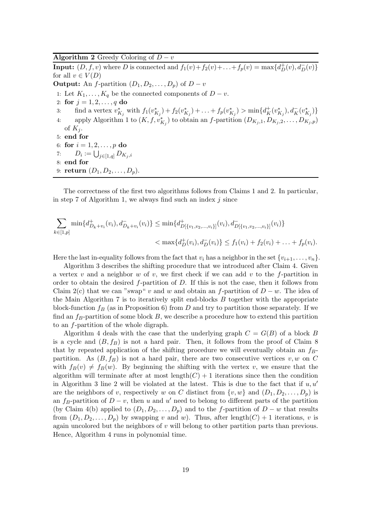#### <span id="page-18-0"></span>Algorithm 2 Greedy Coloring of  $\overline{D-v}$

**Input:**  $(D, f, v)$  where D is connected and  $f_1(v) + f_2(v) + \ldots + f_p(v) = \max\{d_D^+(v), d_D^-(v)\}\$ for all  $v \in V(D)$ **Output:** An *f*-partition  $(D_1, D_2, \ldots, D_p)$  of  $D - v$ 1: Let  $K_1, \ldots, K_q$  be the connected components of  $D - v$ . 2: for  $j = 1, 2, ..., q$  do 3: find a vertex  $v_{K_j}^*$  with  $f_1(v_{K_j}^*) + f_2(v_{K_j}^*) + \ldots + f_p(v_{K_j}^*)$  >  $\min\{d_K^+(v_{K_j}^*), d_K^-(v_{K_j}^*)\}$ 4: apply Algorithm [1](#page-17-2) to  $(K, f, v_{K_j}^*)$  to obtain an f-partition  $(D_{K_j,1}, D_{K_j,2}, \ldots, D_{K_j,p})$ of  $K_i$ . 5: end for 6: for  $i = 1, 2, ..., p$  do 7:  $D_i := \bigcup_{j \in [1,q]} D_{K_j,i}$ 8: end for 9: **return**  $(D_1, D_2, \ldots, D_p)$ .

The correctness of the first two algorithms follows from Claims [1](#page-7-1) and [2.](#page-7-0) In particular, in step [7](#page-17-2) of Algorithm [1,](#page-17-2) we always find such an index  $i$  since

$$
\sum_{k \in [1,p]} \min\{d_{D_k+v_i}^+(v_i), d_{D_k+v_i}^-(v_i)\} \le \min\{d_{D[\{v_1, v_2, \dots, v_i\}]}^+(v_i), d_{D[\{v_1, v_2, \dots, v_i\}]}^-(v_i)\}
$$
\n
$$
< \max\{d_D^+(v_i), d_D^-(v_i)\} \le f_1(v_i) + f_2(v_i) + \dots + f_p(v_i).
$$

Here the last in-equality follows from the fact that  $v_i$  has a neighbor in the set  $\{v_{i+1}, \ldots, v_n\}$ .

Algorithm [3](#page-19-0) describes the shifting procedure that we introduced after Claim [4.](#page-9-0) Given a vertex v and a neighbor w of v, we first check if we can add v to the f-partition in order to obtain the desired  $f$ -partition of  $D$ . If this is not the case, then it follows from Claim [2\(](#page-7-0)c) that we can "swap" v and w and obtain an f-partition of  $D - w$ . The idea of the Main Algorithm [7](#page-23-0) is to iteratively split end-blocks  $B$  together with the appropriate block-function  $f_B$  (as in Proposition [6\)](#page-5-3) from D and try to partition those separately. If we find an  $f_B$ -partition of some block B, we describe a procedure how to extend this partition to an f-partition of the whole digraph.

Algorithm [4](#page-19-1) deals with the case that the underlying graph  $C = G(B)$  of a block B is a cycle and  $(B, f_B)$  is not a hard pair. Then, it follows from the proof of Claim [8](#page-12-1) that by repeated application of the shifting procedure we will eventually obtain an  $f_B$ partition. As  $(B, f_B)$  is not a hard pair, there are two consecutive vertices v, w on C with  $f_B(v) \neq f_B(w)$ . By beginning the shifting with the vertex v, we ensure that the algorithm will terminate after at most length $(C) + 1$  iterations since then the condition in Algorithm [3](#page-19-0) line [2](#page-19-0) will be violated at the latest. This is due to the fact that if  $u, u'$ are the neighbors of v, respectively w on C distinct from  $\{v, w\}$  and  $(D_1, D_2, \ldots, D_p)$  is an  $f_B$ -partition of  $D - v$ , then u and u' need to belong to different parts of the partition (by Claim [4\(](#page-9-0)b) applied to  $(D_1, D_2, \ldots, D_p)$  and to the f-partition of  $D - w$  that results from  $(D_1, D_2, \ldots, D_p)$  by swapping v and w). Thus, after length $(C) + 1$  iterations, v is again uncolored but the neighbors of  $v$  will belong to other partition parts than previous. Hence, Algorithm [4](#page-19-1) runs in polynomial time.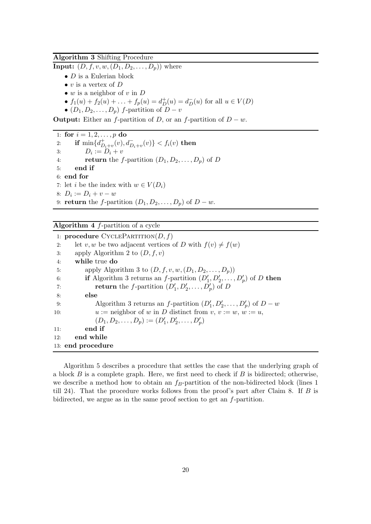#### <span id="page-19-0"></span>Algorithm 3 Shifting Procedure

**Input:**  $(D, f, v, w, (D_1, D_2, \ldots, D_p))$  where

- $\bullet$  *D* is a Eulerian block
- v is a vertex of  $D$
- $w$  is a neighbor of  $v$  in  $D$
- $f_1(u) + f_2(u) + \ldots + f_p(u) = d_D^+(u) = d_D^-(u)$  for all  $u \in V(D)$
- $(D_1, D_2, \ldots, D_p)$  f-partition of  $D v$

**Output:** Either an *f*-partition of D, or an *f*-partition of  $D - w$ .

1: for  $i = 1, 2, ..., p$  do 2: if  $\min\{d_{D_i+v}^+(v), d_{D_i+v}^-(v)\} < f_i(v)$  then 3:  $D_i := D_i + v$ 4: **return** the f-partition  $(D_1, D_2, \ldots, D_p)$  of D 5: end if 6: end for 7: let *i* be the index with  $w \in V(D_i)$ 8:  $D_i := D_i + v - w$ 9: **return** the *f*-partition  $(D_1, D_2, \ldots, D_p)$  of  $D - w$ .

#### <span id="page-19-1"></span>Algorithm  $4$  f-partition of a cycle

|     | 1: <b>procedure</b> CYCLEPARTITION $(D, f)$                                                        |
|-----|----------------------------------------------------------------------------------------------------|
| 2:  | let v, w be two adjacent vertices of D with $f(v) \neq f(w)$                                       |
| 3:  | apply Algorithm 2 to $(D, f, v)$                                                                   |
| 4:  | while true do                                                                                      |
| 5:  | apply Algorithm 3 to $(D, f, v, w, (D_1, D_2, \ldots, D_p))$                                       |
| 6:  | <b>if</b> Algorithm 3 returns an <i>f</i> -partition $(D'_1, D'_2, \ldots, D'_n)$ of <i>D</i> then |
| 7:  | <b>return</b> the f-partition $(D'_1, D'_2, \ldots, D'_n)$ of D                                    |
| 8:  | else                                                                                               |
| 9:  | Algorithm 3 returns an f-partition $(D'_1, D'_2, \ldots, D'_p)$ of $D - w$                         |
| 10: | $u :=$ neighbor of w in D distinct from $v, v := w, w := u$ ,                                      |
|     | $(D_1, D_2, \ldots, D_p) := (D'_1, D'_2, \ldots, D'_p)$                                            |
| 11: | end if                                                                                             |
| 12: | end while                                                                                          |
|     | 13: end procedure                                                                                  |

Algorithm [5](#page-20-0) describes a procedure that settles the case that the underlying graph of a block  $B$  is a complete graph. Here, we first need to check if  $B$  is bidirected; otherwise, we describe a method how to obtain an  $f_B$ -partition of the non-bidirected block (lines 1) till [24\)](#page-20-0). That the procedure works follows from the proof's part after Claim [8.](#page-12-1) If  $B$  is bidirected, we argue as in the same proof section to get an f-partition.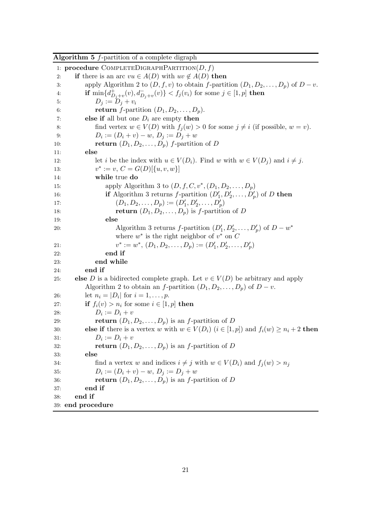<span id="page-20-0"></span>

| <b>Algorithm 5</b> $f$ -partition of a complete digraph |  |  |  |  |  |  |  |
|---------------------------------------------------------|--|--|--|--|--|--|--|
|---------------------------------------------------------|--|--|--|--|--|--|--|

1: procedure COMPLETEDIGRAPHPARTITION $(D, f)$ 2: if there is an arc  $vu \in A(D)$  with  $uv \notin A(D)$  then 3: apply Algorithm [2](#page-18-0) to  $(D, f, v)$  to obtain f-partition  $(D_1, D_2, \ldots, D_p)$  of  $D - v$ . 4: **if**  $\min\{d_{D_j+v}^+(v), d_{D_j+v}^-(v)\} < f_j(v_i)$  for some  $j \in [1, p]$  **then** 5:  $D_i := D_i + v_i$ 6: **return** *f*-partition  $(D_1, D_2, \ldots, D_p)$ . 7: **else if** all but one  $D_i$  are empty **then** 8: find vertex  $w \in V(D)$  with  $f_i(w) > 0$  for some  $i \neq i$  (if possible,  $w = v$ ). 9:  $D_i := (D_i + v) - w, D_j := D_j + w$ 10: **return**  $(D_1, D_2, \ldots, D_p)$  *f*-partition of *D* 11: else 12: let i be the index with  $u \in V(D_i)$ . Find w with  $w \in V(D_i)$  and  $i \neq j$ .  $13:$ \* := v,  $C = G(D)[\{u, v, w\}]$ 14: while true do 15: apply Algorithm [3](#page-19-0) to  $(D, f, C, v^*, (D_1, D_2, ..., D_p))$ 16: **if** Algorithm [3](#page-19-0) returns *f*-partition  $(D'_1, D'_2, \ldots, D'_p)$  of *D* then 17:  $(D_1, D_2, \ldots, D_p) := (D'_1, D'_2, \ldots, D'_p)$ 18: return  $(D_1, D_2, \ldots, D_n)$  is f-partition of D 19: else 20: Algorithm [3](#page-19-0) returns f-partition  $(D'_1, D'_2, \ldots, D'_p)$  of  $D - w^*$ where  $w^*$  is the right neighbor of  $v^*$  on  $C$ 21:  $v$ \* :=  $w^*$ ,  $(D_1, D_2, \ldots, D_p) := (D'_1, D'_2, \ldots, D'_p)$ 22: end if 23: end while 24: end if 25: else D is a bidirected complete graph. Let  $v \in V(D)$  be arbitrary and apply Algorithm [2](#page-18-0) to obtain an f-partition  $(D_1, D_2, \ldots, D_p)$  of  $D - v$ . 26: let  $n_i = |D_i|$  for  $i = 1, ..., p$ . 27: **if**  $f_i(v) > n_i$  for some  $i \in [1, p]$  **then** 28:  $D_i := D_i + v$ 29: **return**  $(D_1, D_2, \ldots, D_p)$  is an *f*-partition of *D* 30: **else if** there is a vertex w with  $w \in V(D_i)$   $(i \in [1, p])$  and  $f_i(w) \geq n_i + 2$  **then** 31:  $D_i := D_i + v$ 32: **return**  $(D_1, D_2, \ldots, D_p)$  is an *f*-partition of *D* 33: else 34: find a vertex w and indices  $i \neq j$  with  $w \in V(D_i)$  and  $f_i(w) > n_j$ 35:  $D_i := (D_i + v) - w, D_j := D_j + w$ 36: return  $(D_1, D_2, \ldots, D_p)$  is an *f*-partition of *D* 37: end if 38: end if 39: end procedure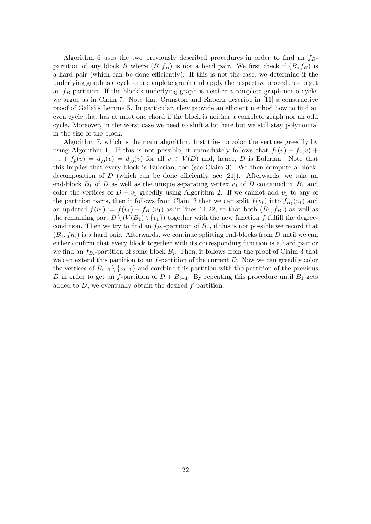Algorithm [6](#page-22-0) uses the two previously described procedures in order to find an  $f_B$ partition of any block B where  $(B, f_B)$  is not a hard pair. We first check if  $(B, f_B)$  is a hard pair (which can be done efficiently). If this is not the case, we determine if the underlying graph is a cycle or a complete graph and apply the respective procedures to get an  $f_B$ -partition. If the block's underlying graph is neither a complete graph nor a cycle, we argue as in Claim [7.](#page-11-1) Note that Cranston and Rabern describe in [\[11\]](#page-16-17) a constructive proof of Gallai's Lemma [5.](#page-5-2) In particular, they provide an efficient method how to find an even cycle that has at most one chord if the block is neither a complete graph nor an odd cycle. Moreover, in the worst case we need to shift a lot here but we still stay polynomial in the size of the block.

Algorithm [7,](#page-23-0) which is the main algorithm, first tries to color the vertices greedily by using Algorithm [1.](#page-17-2) If this is not possible, it immediately follows that  $f_1(v) + f_2(v) + f_3(v)$  $\dots + f_p(v) = d_D^+(v) = d_D^-(v)$  for all  $v \in V(D)$  and, hence, D is Eulerian. Note that this implies that every block is Eulerian, too (see Claim [3\)](#page-8-2). We then compute a block-decomposition of D (which can be done efficiently, see [\[21\]](#page-16-18)). Afterwards, we take an end-block  $B_1$  of D as well as the unique separating vertex  $v_1$  of D contained in  $B_1$  and color the vertices of  $D - v_1$  greedily using Algorithm [2.](#page-18-0) If we cannot add  $v_1$  to any of the partition parts, then it follows from Claim [3](#page-8-2) that we can split  $f(v_1)$  into  $f_{B_1}(v_1)$  and an updated  $f(v_1) := f(v_1) - f_{B_1}(v_1)$  as in lines [14-22,](#page-23-0) so that both  $(B_1, f_{B_1})$  as well as the remaining part  $D \setminus (V(B_1) \setminus \{v_1\})$  together with the new function f fulfill the degreecondition. Then we try to find an  $f_{B_1}$ -partition of  $B_1$ , if this is not possible we record that  $(B_1, f_{B_1})$  is a hard pair. Afterwards, we continue splitting end-blocks from D until we can either confirm that every block together with its corresponding function is a hard pair or we find an  $f_{B_i}$ -partition of some block  $B_i$ . Then, it follows from the proof of Claim [3](#page-8-2) that we can extend this partition to an  $f$ -partition of the current  $D$ . Now we can greedily color the vertices of  $B_{i-1} \setminus \{v_{i-1}\}\$  and combine this partition with the partition of the previous D in order to get an f-partition of  $D + B_{i-1}$ . By repeating this procedure until  $B_1$  gets added to  $D$ , we eventually obtain the desired  $f$ -partition.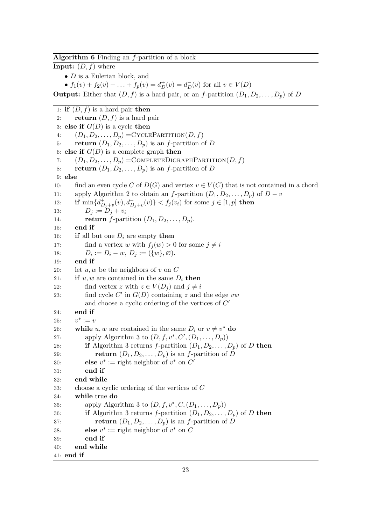#### <span id="page-22-0"></span>Algorithm 6 Finding an f-partition of a block

**Input:**  $(D, f)$  where

•  $D$  is a Eulerian block, and

•  $f_1(v) + f_2(v) + \ldots + f_p(v) = d_D^+(v) = d_D^-(v)$  for all  $v \in V(D)$ 

**Output:** Either that  $(D, f)$  is a hard pair, or an f-partition  $(D_1, D_2, \ldots, D_p)$  of D

1: **if**  $(D, f)$  is a hard pair **then** 2: **return**  $(D, f)$  is a hard pair 3: else if  $G(D)$  is a cycle then 4:  $(D_1, D_2, \ldots, D_n) = \text{CYCLEPARTITION}(D, f)$ 5: return  $(D_1, D_2, \ldots, D_p)$  is an f-partition of D 6: else if  $G(D)$  is a complete graph then 7:  $(D_1, D_2, \ldots, D_n) = \text{COMPLETEDIGRAPHPARTITION}(D, f)$ 8: return  $(D_1, D_2, \ldots, D_n)$  is an f-partition of D 9: else 10: find an even cycle C of  $D(G)$  and vertex  $v \in V(C)$  that is not contained in a chord 11: apply Algorithm [2](#page-18-0) to obtain an f-partition  $(D_1, D_2, \ldots, D_p)$  of  $D - v$ 12: **if**  $\min\{d_{D_j+v}^+(v), d_{D_j+v}^-(v)\} < f_j(v_i)$  for some  $j \in [1, p]$  then 13:  $D_i := D_i + v_i$ 14: **return** f-partition  $(D_1, D_2, \ldots, D_p)$ . 15: end if 16: if all but one  $D_i$  are empty then 17: find a vertex w with  $f_i(w) > 0$  for some  $j \neq i$ 18:  $D_i := D_i - w, D_j := (\{w\}, \varnothing).$ 19: end if 20: let  $u, w$  be the neighbors of  $v$  on  $C$ 21: **if**  $u, w$  are contained in the same  $D_i$  then 22: find vertex z with  $z \in V(D_i)$  and  $j \neq i$ 23: find cycle  $C'$  in  $G(D)$  containing z and the edge vw and choose a cyclic ordering of the vertices of  $C'$ 24: end if 25:  $^* := v$ 26: while  $u, w$  are contained in the same  $D_i$  or  $v \neq v^*$  do 27: apply Algorithm [3](#page-19-0) to  $(D, f, v^*, C', (D_1, \ldots, D_p))$ 28: if Algorithm [3](#page-19-0) returns f-partition  $(D_1, D_2, \ldots, D_p)$  of D then 29: **return**  $(D_1, D_2, \ldots, D_p)$  is an *f*-partition of *D* 30: **else**  $v^* := \text{right neighbor of } v^* \text{ on } C'$ 31: end if 32: end while 33: choose a cyclic ordering of the vertices of C 34: while true do 35: apply Algorithm [3](#page-19-0) to  $(D, f, v^*, C, (D_1, \ldots, D_p))$ 36: if Algorithm [3](#page-19-0) returns f-partition  $(D_1, D_2, \ldots, D_n)$  of D then 37: **return**  $(D_1, D_2, \ldots, D_p)$  is an *f*-partition of *D* 38: **else**  $v^* := \text{right neighbor of } v^* \text{ on } C$ 39: end if 40: end while 41: end if